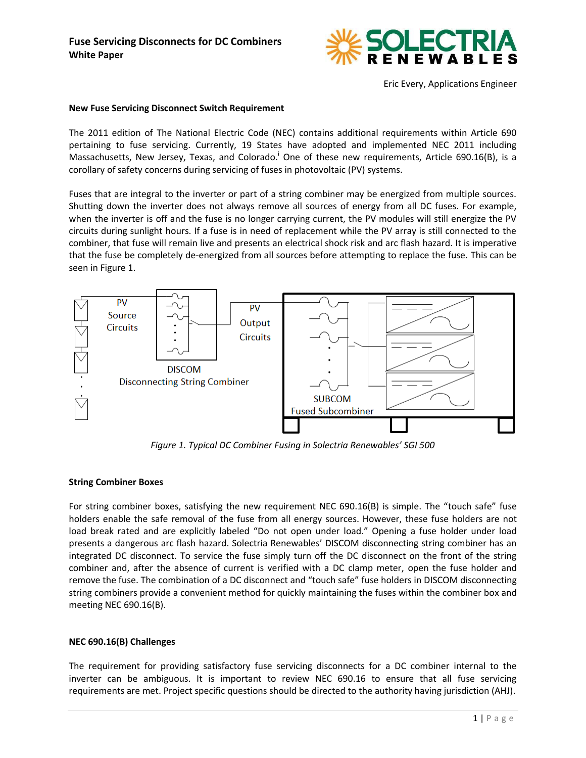

Eric Every, Applications Engineer

#### **New Fuse Servicing Disconnect Switch Requirement**

The 2011 edition of The National Electric Code (NEC) contains additional requirements within Article 690 pertaining to fuse servicing. Currently, 19 States have adopted and implemented NEC 2011 including Massachusetts, New Jersey, Texas, and Colorado.<sup>i</sup> One of these new requirements, Article 690.16(B), is a corollary of safety concerns during servicing of fuses in photovoltaic (PV) systems.

Fuses that are integral to the inverter or part of a string combiner may be energized from multiple sources. Shutting down the inverter does not always remove all sources of energy from all DC fuses. For example, when the inverter is off and the fuse is no longer carrying current, the PV modules will still energize the PV circuits during sunlight hours. If a fuse is in need of replacement while the PV array is still connected to the combiner, that fuse will remain live and presents an electrical shock risk and arc flash hazard. It is imperative that the fuse be completely de-energized from all sources before attempting to replace the fuse. This can be seen in Figure 1.



*Figure 1. Typical DC Combiner Fusing in Solectria Renewables' SGI 500*

### **String Combiner Boxes**

For string combiner boxes, satisfying the new requirement NEC 690.16(B) is simple. The "touch safe" fuse holders enable the safe removal of the fuse from all energy sources. However, these fuse holders are not load break rated and are explicitly labeled "Do not open under load." Opening a fuse holder under load presents a dangerous arc flash hazard. Solectria Renewables' DISCOM disconnecting string combiner has an integrated DC disconnect. To service the fuse simply turn off the DC disconnect on the front of the string combiner and, after the absence of current is verified with a DC clamp meter, open the fuse holder and remove the fuse. The combination of a DC disconnect and "touch safe" fuse holders in DISCOM disconnecting string combiners provide a convenient method for quickly maintaining the fuses within the combiner box and meeting NEC 690.16(B).

### **NEC 690.16(B) Challenges**

The requirement for providing satisfactory fuse servicing disconnects for a DC combiner internal to the inverter can be ambiguous. It is important to review NEC 690.16 to ensure that all fuse servicing requirements are met. Project specific questions should be directed to the authority having jurisdiction (AHJ).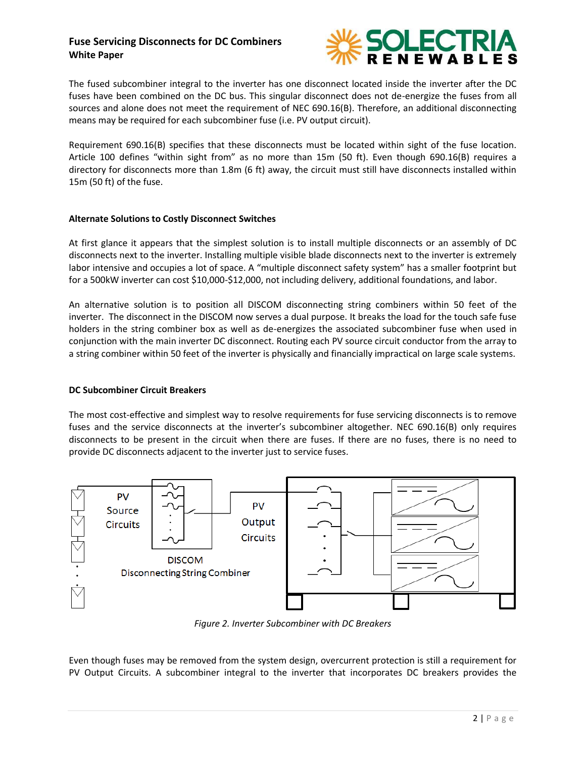# **Fuse Servicing Disconnects for DC Combiners White Paper**



The fused subcombiner integral to the inverter has one disconnect located inside the inverter after the DC fuses have been combined on the DC bus. This singular disconnect does not de-energize the fuses from all sources and alone does not meet the requirement of NEC 690.16(B). Therefore, an additional disconnecting means may be required for each subcombiner fuse (i.e. PV output circuit).

Requirement 690.16(B) specifies that these disconnects must be located within sight of the fuse location. Article 100 defines "within sight from" as no more than 15m (50 ft). Even though 690.16(B) requires a directory for disconnects more than 1.8m (6 ft) away, the circuit must still have disconnects installed within 15m (50 ft) of the fuse.

### **Alternate Solutions to Costly Disconnect Switches**

At first glance it appears that the simplest solution is to install multiple disconnects or an assembly of DC disconnects next to the inverter. Installing multiple visible blade disconnects next to the inverter is extremely labor intensive and occupies a lot of space. A "multiple disconnect safety system" has a smaller footprint but for a 500kW inverter can cost \$10,000-\$12,000, not including delivery, additional foundations, and labor.

An alternative solution is to position all DISCOM disconnecting string combiners within 50 feet of the inverter. The disconnect in the DISCOM now serves a dual purpose. It breaks the load for the touch safe fuse holders in the string combiner box as well as de-energizes the associated subcombiner fuse when used in conjunction with the main inverter DC disconnect. Routing each PV source circuit conductor from the array to a string combiner within 50 feet of the inverter is physically and financially impractical on large scale systems.

### **DC Subcombiner Circuit Breakers**

The most cost-effective and simplest way to resolve requirements for fuse servicing disconnects is to remove fuses and the service disconnects at the inverter's subcombiner altogether. NEC 690.16(B) only requires disconnects to be present in the circuit when there are fuses. If there are no fuses, there is no need to provide DC disconnects adjacent to the inverter just to service fuses.



*Figure 2. Inverter Subcombiner with DC Breakers*

Even though fuses may be removed from the system design, overcurrent protection is still a requirement for PV Output Circuits. A subcombiner integral to the inverter that incorporates DC breakers provides the